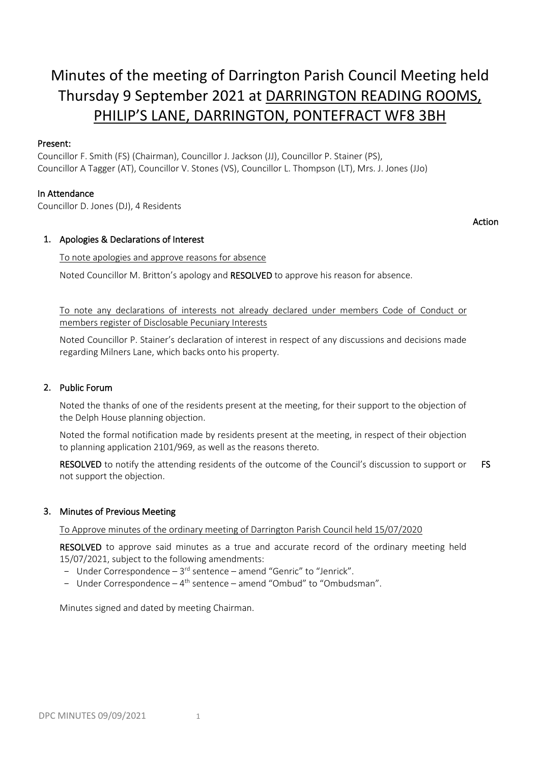# Minutes of the meeting of Darrington Parish Council Meeting held Thursday 9 September 2021 at DARRINGTON READING ROOMS, PHILIP'S LANE, DARRINGTON, PONTEFRACT WF8 3BH

Action

# Present:

Councillor F. Smith (FS) (Chairman), Councillor J. Jackson (JJ), Councillor P. Stainer (PS), Councillor A Tagger (AT), Councillor V. Stones (VS), Councillor L. Thompson (LT), Mrs. J. Jones (JJo)

# In Attendance

Councillor D. Jones (DJ), 4 Residents

# 1. Apologies & Declarations of Interest

## To note apologies and approve reasons for absence

Noted Councillor M. Britton's apology and RESOLVED to approve his reason for absence.

To note any declarations of interests not already declared under members Code of Conduct or members register of Disclosable Pecuniary Interests

Noted Councillor P. Stainer's declaration of interest in respect of any discussions and decisions made regarding Milners Lane, which backs onto his property.

# 2. Public Forum

Noted the thanks of one of the residents present at the meeting, for their support to the objection of the Delph House planning objection.

Noted the formal notification made by residents present at the meeting, in respect of their objection to planning application 2101/969, as well as the reasons thereto.

RESOLVED to notify the attending residents of the outcome of the Council's discussion to support or not support the objection. FS

# 3. Minutes of Previous Meeting

To Approve minutes of the ordinary meeting of Darrington Parish Council held 15/07/2020

RESOLVED to approve said minutes as a true and accurate record of the ordinary meeting held 15/07/2021, subject to the following amendments:

- Under Correspondence  $-3^{rd}$  sentence  $-$  amend "Genric" to "Jenrick".
- Under Correspondence 4<sup>th</sup> sentence amend "Ombud" to "Ombudsman".

Minutes signed and dated by meeting Chairman.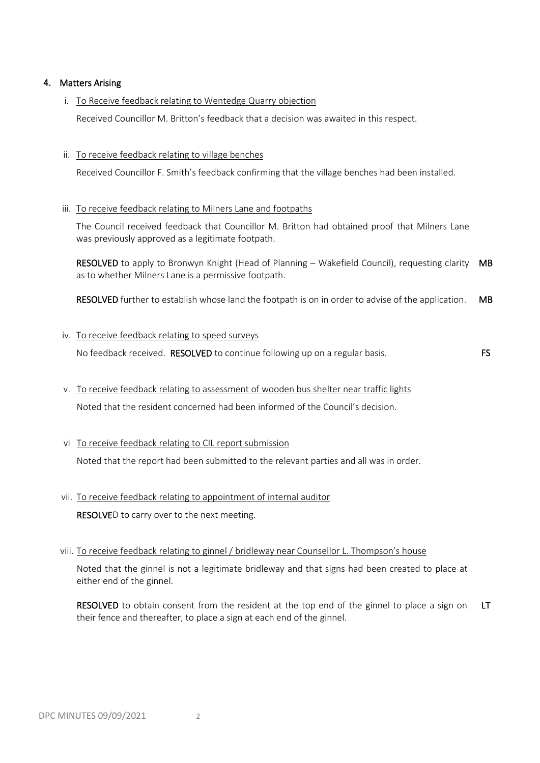# 4. Matters Arising

i. To Receive feedback relating to Wentedge Quarry objection

Received Councillor M. Britton's feedback that a decision was awaited in this respect.

### ii. To receive feedback relating to village benches

Received Councillor F. Smith's feedback confirming that the village benches had been installed.

## iii. To receive feedback relating to Milners Lane and footpaths

The Council received feedback that Councillor M. Britton had obtained proof that Milners Lane was previously approved as a legitimate footpath.

RESOLVED to apply to Bronwyn Knight (Head of Planning – Wakefield Council), requesting clarity MB as to whether Milners Lane is a permissive footpath.

RESOLVED further to establish whose land the footpath is on in order to advise of the application. MB

## iv. To receive feedback relating to speed surveys

No feedback received. **RESOLVED** to continue following up on a regular basis. FS

- v. To receive feedback relating to assessment of wooden bus shelter near traffic lights Noted that the resident concerned had been informed of the Council's decision.
- vi To receive feedback relating to CIL report submission

Noted that the report had been submitted to the relevant parties and all was in order.

## vii. To receive feedback relating to appointment of internal auditor

RESOLVED to carry over to the next meeting.

## viii. To receive feedback relating to ginnel / bridleway near Counsellor L. Thompson's house

Noted that the ginnel is not a legitimate bridleway and that signs had been created to place at either end of the ginnel.

RESOLVED to obtain consent from the resident at the top end of the ginnel to place a sign on their fence and thereafter, to place a sign at each end of the ginnel. LT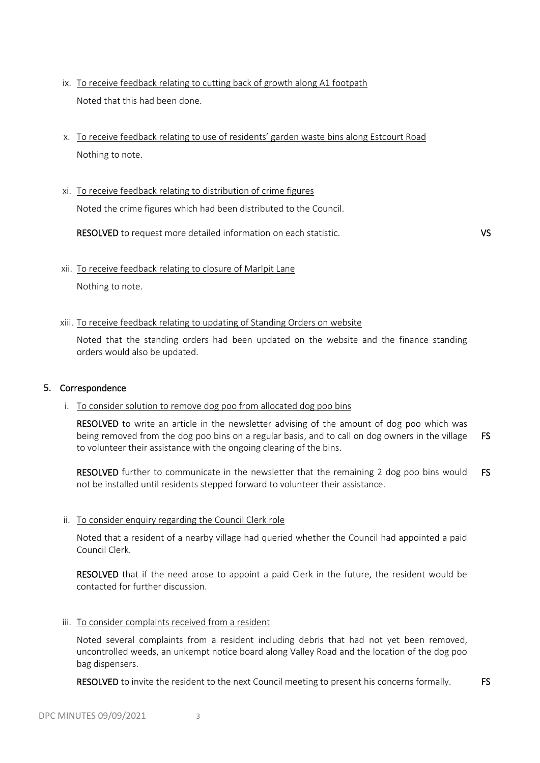- ix. To receive feedback relating to cutting back of growth along A1 footpath Noted that this had been done.
- x. To receive feedback relating to use of residents' garden waste bins along Estcourt Road Nothing to note.
- xi. To receive feedback relating to distribution of crime figures

Noted the crime figures which had been distributed to the Council.

RESOLVED to request more detailed information on each statistic. VS

xii. To receive feedback relating to closure of Marlpit Lane

Nothing to note.

## xiii. To receive feedback relating to updating of Standing Orders on website

Noted that the standing orders had been updated on the website and the finance standing orders would also be updated.

## 5. Correspondence

## i. To consider solution to remove dog poo from allocated dog poo bins

RESOLVED to write an article in the newsletter advising of the amount of dog poo which was being removed from the dog poo bins on a regular basis, and to call on dog owners in the village to volunteer their assistance with the ongoing clearing of the bins. FS

RESOLVED further to communicate in the newsletter that the remaining 2 dog poo bins would not be installed until residents stepped forward to volunteer their assistance. FS

## ii. To consider enquiry regarding the Council Clerk role

Noted that a resident of a nearby village had queried whether the Council had appointed a paid Council Clerk.

RESOLVED that if the need arose to appoint a paid Clerk in the future, the resident would be contacted for further discussion.

## iii. To consider complaints received from a resident

Noted several complaints from a resident including debris that had not yet been removed, uncontrolled weeds, an unkempt notice board along Valley Road and the location of the dog poo bag dispensers.

RESOLVED to invite the resident to the next Council meeting to present his concerns formally. FS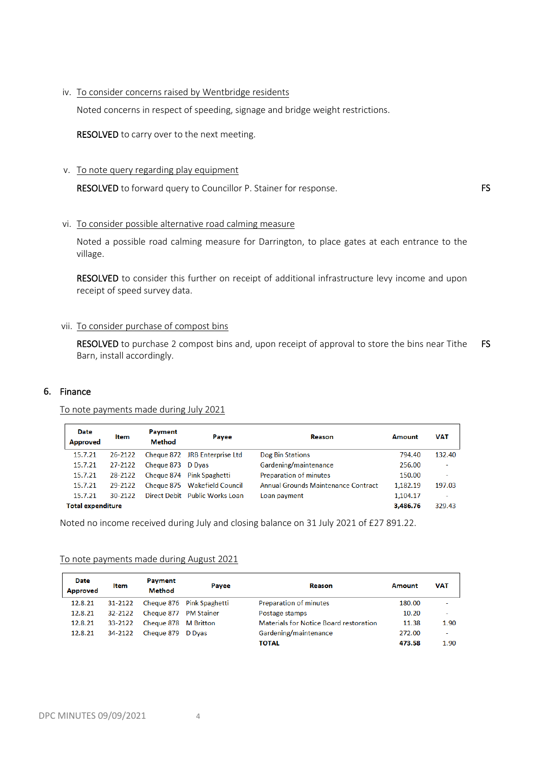#### iv. To consider concerns raised by Wentbridge residents

Noted concerns in respect of speeding, signage and bridge weight restrictions.

RESOLVED to carry over to the next meeting.

#### v. To note query regarding play equipment

RESOLVED to forward query to Councillor P. Stainer for response. FS

## vi. To consider possible alternative road calming measure

Noted a possible road calming measure for Darrington, to place gates at each entrance to the village.

RESOLVED to consider this further on receipt of additional infrastructure levy income and upon receipt of speed survey data.

#### vii. To consider purchase of compost bins

RESOLVED to purchase 2 compost bins and, upon receipt of approval to store the bins near Tithe Barn, install accordingly. FS

#### 6. Finance

To note payments made during July 2021

| <b>Date</b><br><b>Approved</b> | Item    | Payment<br>Method | Payee                          | Reason                              | <b>Amount</b> | <b>VAT</b>               |
|--------------------------------|---------|-------------------|--------------------------------|-------------------------------------|---------------|--------------------------|
| 15.7.21                        | 26-2122 |                   | Cheque 872 JRB Enterprise Ltd  | <b>Dog Bin Stations</b>             | 794.40        | 132.40                   |
| 15.7.21                        | 27-2122 | Cheque 873 D Dyas |                                | Gardening/maintenance               | 256.00        | $\overline{\phantom{a}}$ |
| 15.7.21                        | 28-2122 |                   | Cheque 874 Pink Spaghetti      | Preparation of minutes              | 150.00        | $\overline{\phantom{a}}$ |
| 15.7.21                        | 29-2122 |                   | Cheque 875 Wakefield Council   | Annual Grounds Maintenance Contract | 1,182.19      | 197.03                   |
| 15.7.21                        | 30-2122 |                   | Direct Debit Public Works Loan | Loan payment                        | 1,104.17      | ۰                        |
| <b>Total expenditure</b>       |         |                   |                                |                                     | 3,486.76      | 329.43                   |

Noted no income received during July and closing balance on 31 July 2021 of £27 891.22.

| To note payments made during August 2021 |  |
|------------------------------------------|--|
|                                          |  |

| <b>Date</b><br><b>Approved</b> | Item    | Payment<br>Method     | Payee                     | Reason                                        | Amount | VAT                      |
|--------------------------------|---------|-----------------------|---------------------------|-----------------------------------------------|--------|--------------------------|
| 12.8.21                        | 31-2122 |                       | Cheque 876 Pink Spaghetti | Preparation of minutes                        | 180.00 | $\overline{\phantom{a}}$ |
| 12.8.21                        | 32-2122 | Cheque 877 PM Stainer |                           | Postage stamps                                | 10.20  | $\overline{\phantom{a}}$ |
| 12.8.21                        | 33-2122 | Cheque 878 M Britton  |                           | <b>Materials for Notice Board restoration</b> | 11.38  | 1.90                     |
| 12.8.21                        | 34-2122 | Cheque 879 D Dyas     |                           | Gardening/maintenance                         | 272.00 | $\overline{\phantom{a}}$ |
|                                |         |                       |                           | <b>TOTAL</b>                                  | 473.58 | 1.90                     |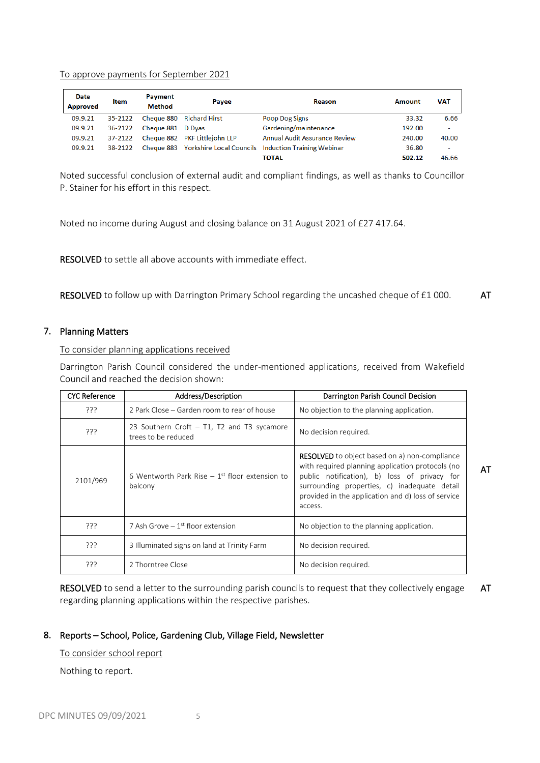To approve payments for September 2021

| Date<br><b>Approved</b> | <b>Item</b> | Payment<br><b>Method</b> | Payee                         | Reason                                                         | Amount | <b>VAT</b>               |
|-------------------------|-------------|--------------------------|-------------------------------|----------------------------------------------------------------|--------|--------------------------|
| 09.9.21                 | 35-2122     |                          | Cheque 880 Richard Hirst      | Poop Dog Signs                                                 | 33.32  | 6.66                     |
| 09.9.21                 | 36-2122     | Cheque 881 D Dyas        |                               | Gardening/maintenance                                          | 192.00 | $\overline{\phantom{a}}$ |
| 09.9.21                 | 37-2122     |                          | Cheque 882 PKF Littleiohn LLP | <b>Annual Audit Assurance Review</b>                           | 240.00 | 40.00                    |
| 09.9.21                 | 38-2122     |                          |                               | Cheque 883 Yorkshire Local Councils Induction Training Webinar | 36.80  | $\overline{\phantom{a}}$ |
|                         |             |                          |                               | <b>TOTAL</b>                                                   | 502.12 | 46.66                    |

Noted successful conclusion of external audit and compliant findings, as well as thanks to Councillor P. Stainer for his effort in this respect.

Noted no income during August and closing balance on 31 August 2021 of £27 417.64.

RESOLVED to settle all above accounts with immediate effect.

RESOLVED to follow up with Darrington Primary School regarding the uncashed cheque of £1 000. AT

#### 7. Planning Matters

To consider planning applications received

Darrington Parish Council considered the under-mentioned applications, received from Wakefield Council and reached the decision shown:

| <b>CYC Reference</b> | Address/Description                                                    | Darrington Parish Council Decision                                                                                                                                                                                                                                        |    |
|----------------------|------------------------------------------------------------------------|---------------------------------------------------------------------------------------------------------------------------------------------------------------------------------------------------------------------------------------------------------------------------|----|
| ???                  | 2 Park Close – Garden room to rear of house                            | No objection to the planning application.                                                                                                                                                                                                                                 |    |
| ڊڊڊ                  | 23 Southern Croft $-$ T1, T2 and T3 sycamore<br>trees to be reduced    | No decision required.                                                                                                                                                                                                                                                     |    |
| 2101/969             | 6 Wentworth Park Rise $-1$ <sup>st</sup> floor extension to<br>balcony | <b>RESOLVED</b> to object based on a) non-compliance<br>with required planning application protocols (no<br>public notification), b) loss of privacy for<br>surrounding properties, c) inadequate detail<br>provided in the application and d) loss of service<br>access. | AT |
| ???                  | 7 Ash Grove $-1$ <sup>st</sup> floor extension                         | No objection to the planning application.                                                                                                                                                                                                                                 |    |
| ַרְרְי               | 3 Illuminated signs on land at Trinity Farm                            | No decision required.                                                                                                                                                                                                                                                     |    |
| ַרְרְי               | 2 Thorntree Close                                                      | No decision required.                                                                                                                                                                                                                                                     |    |

RESOLVED to send a letter to the surrounding parish councils to request that they collectively engage regarding planning applications within the respective parishes. AT

## 8. Reports – School, Police, Gardening Club, Village Field, Newsletter

To consider school report

Nothing to report.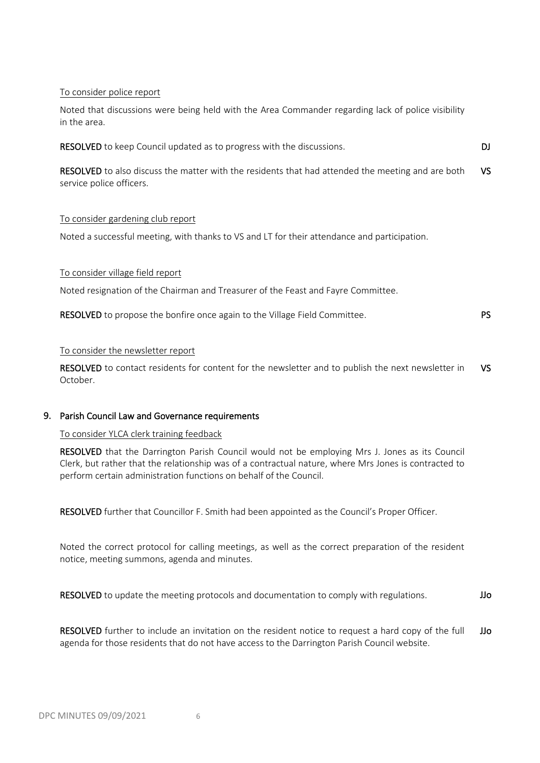## To consider police report

Noted that discussions were being held with the Area Commander regarding lack of police visibility in the area.

| <b>RESOLVED</b> to keep Council updated as to progress with the discussions.                                                         |     |
|--------------------------------------------------------------------------------------------------------------------------------------|-----|
| <b>RESOLVED</b> to also discuss the matter with the residents that had attended the meeting and are both<br>service police officers. | VS. |
| To consider gardening club report                                                                                                    |     |

Noted a successful meeting, with thanks to VS and LT for their attendance and participation.

## To consider village field report

Noted resignation of the Chairman and Treasurer of the Feast and Fayre Committee.

| RESOLVED to propose the bonfire once again to the Village Field Committee. |  |  |  | <b>PS</b> |
|----------------------------------------------------------------------------|--|--|--|-----------|
|----------------------------------------------------------------------------|--|--|--|-----------|

## To consider the newsletter report

RESOLVED to contact residents for content for the newsletter and to publish the next newsletter in October. VS

## 9. Parish Council Law and Governance requirements

## To consider YLCA clerk training feedback

RESOLVED that the Darrington Parish Council would not be employing Mrs J. Jones as its Council Clerk, but rather that the relationship was of a contractual nature, where Mrs Jones is contracted to perform certain administration functions on behalf of the Council.

RESOLVED further that Councillor F. Smith had been appointed as the Council's Proper Officer.

Noted the correct protocol for calling meetings, as well as the correct preparation of the resident notice, meeting summons, agenda and minutes.

RESOLVED to update the meeting protocols and documentation to comply with regulations. JJo

RESOLVED further to include an invitation on the resident notice to request a hard copy of the full agenda for those residents that do not have access to the Darrington Parish Council website. JJo